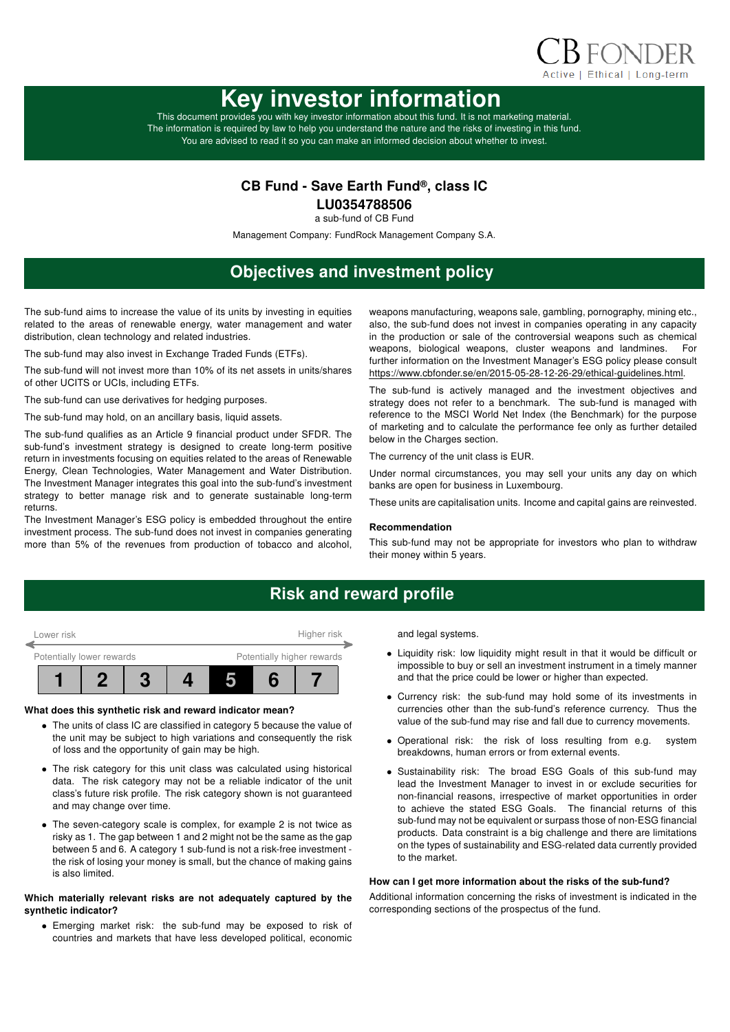

# Key investor information

This document provides you with key investor information about this fund. It is not marketing material. The information is required by law to help you understand the nature and the risks of investing in this fund. You are advised to read it so you can make an informed decision about whether to invest.

### CB Fund - Save Earth Fund®, class IC

LU0354788506

a sub-fund of CB Fund

Management Company: FundRock Management Company S.A.

# Objectives and investment policy

The sub-fund aims to increase the value of its units by investing in equities related to the areas of renewable energy, water management and water distribution, clean technology and related industries.

The sub-fund may also invest in Exchange Traded Funds (ETFs).

The sub-fund will not invest more than 10% of its net assets in units/shares of other UCITS or UCIs, including ETFs.

The sub-fund can use derivatives for hedging purposes.

The sub-fund may hold, on an ancillary basis, liquid assets.

The sub-fund qualifies as an Article 9 financial product under SFDR. The sub-fund's investment strategy is designed to create long-term positive return in investments focusing on equities related to the areas of Renewable Energy, Clean Technologies, Water Management and Water Distribution. The Investment Manager integrates this goal into the sub-fund's investment strategy to better manage risk and to generate sustainable long-term returns.

The Investment Manager's ESG policy is embedded throughout the entire investment process. The sub-fund does not invest in companies generating more than 5% of the revenues from production of tobacco and alcohol, weapons manufacturing, weapons sale, gambling, pornography, mining etc., also, the sub-fund does not invest in companies operating in any capacity in the production or sale of the controversial weapons such as chemical weapons, biological weapons, cluster weapons and landmines. For further information on the Investment Manager's ESG policy please consult https://www.cbfonder.se/en/2015-05-28-12-26-29/ethical-guidelines.html.

The sub-fund is actively managed and the investment objectives and strategy does not refer to a benchmark. The sub-fund is managed with reference to the MSCI World Net Index (the Benchmark) for the purpose of marketing and to calculate the performance fee only as further detailed below in the Charges section.

The currency of the unit class is EUR.

Under normal circumstances, you may sell your units any day on which banks are open for business in Luxembourg.

These units are capitalisation units. Income and capital gains are reinvested.

#### Recommendation

This sub-fund may not be appropriate for investors who plan to withdraw their money within 5 years.

### Risk and reward profile



#### What does this synthetic risk and reward indicator mean?

- The units of class IC are classified in category 5 because the value of the unit may be subject to high variations and consequently the risk of loss and the opportunity of gain may be high.
- The risk category for this unit class was calculated using historical data. The risk category may not be a reliable indicator of the unit class's future risk profile. The risk category shown is not guaranteed and may change over time.
- The seven-category scale is complex, for example 2 is not twice as risky as 1. The gap between 1 and 2 might not be the same as the gap between 5 and 6. A category 1 sub-fund is not a risk-free investment the risk of losing your money is small, but the chance of making gains is also limited.

#### Which materially relevant risks are not adequately captured by the synthetic indicator?

• Emerging market risk: the sub-fund may be exposed to risk of countries and markets that have less developed political, economic and legal systems.

- Liquidity risk: low liquidity might result in that it would be difficult or impossible to buy or sell an investment instrument in a timely manner and that the price could be lower or higher than expected.
- Currency risk: the sub-fund may hold some of its investments in currencies other than the sub-fund's reference currency. Thus the value of the sub-fund may rise and fall due to currency movements.
- Operational risk: the risk of loss resulting from e.g. system breakdowns, human errors or from external events.
- Sustainability risk: The broad ESG Goals of this sub-fund may lead the Investment Manager to invest in or exclude securities for non-financial reasons, irrespective of market opportunities in order to achieve the stated ESG Goals. The financial returns of this sub-fund may not be equivalent or surpass those of non-ESG financial products. Data constraint is a big challenge and there are limitations on the types of sustainability and ESG-related data currently provided to the market.

#### How can I get more information about the risks of the sub-fund?

Additional information concerning the risks of investment is indicated in the corresponding sections of the prospectus of the fund.